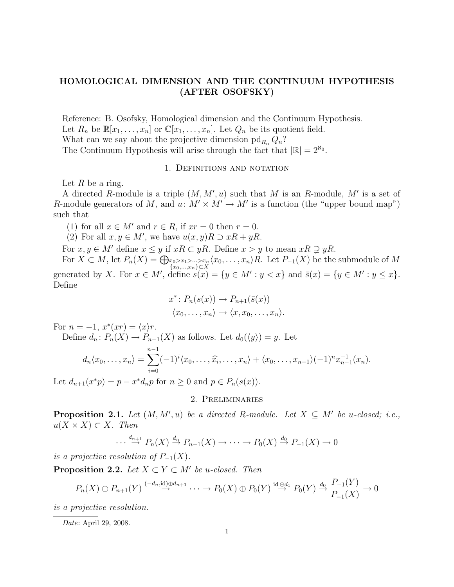# HOMOLOGICAL DIMENSION AND THE CONTINUUM HYPOTHESIS (AFTER OSOFSKY)

Reference: B. Osofsky, Homological dimension and the Continuum Hypothesis. Let  $R_n$  be  $\mathbb{R}[x_1,\ldots,x_n]$  or  $\mathbb{C}[x_1,\ldots,x_n]$ . Let  $Q_n$  be its quotient field. What can we say about the projective dimension  $\text{pd}_{R_n} Q_n$ ? The Continuum Hypothesis will arise through the fact that  $|\mathbb{R}| = 2^{\aleph_0}$ .

#### 1. Definitions and notation

Let  $R$  be a ring.

A directed R-module is a triple  $(M, M', u)$  such that M is an R-module, M' is a set of R-module generators of M, and  $u: M' \times M' \rightarrow M'$  is a function (the "upper bound map") such that

(1) for all  $x \in M'$  and  $r \in R$ , if  $xr = 0$  then  $r = 0$ .

(2) For all  $x, y \in M'$ , we have  $u(x, y)R \supset xR + yR$ .

For  $x, y \in M'$  define  $x \leq y$  if  $xR \subset yR$ . Define  $x > y$  to mean  $xR \supseteq yR$ .

For  $X \subset M$ , let  $P_n(X) = \bigoplus_{\substack{x_0 > x_1 > ... > x_n \\ x_0,...,x_n \} \subset X} \langle x_0,...,x_n \rangle R$ . Let  $P_{-1}(X)$  be the submodule of M generated by X. For  $x \in M'$ , define  $s(x) = \{y \in M' : y < x\}$  and  $\bar{s}(x) = \{y \in M' : y \leq x\}$ . Define

$$
x^* : P_n(s(x)) \to P_{n+1}(\bar{s}(x))
$$

$$
\langle x_0, \ldots, x_n \rangle \mapsto \langle x, x_0, \ldots, x_n \rangle.
$$

For  $n = -1$ ,  $x^*(xr) = \langle x \rangle r$ .

Define 
$$
d_n: P_n(X) \to P_{n-1}(X)
$$
 as follows. Let  $d_0(\langle y \rangle) = y$ . Let  
\n
$$
d_n \langle x_0, \dots, x_n \rangle = \sum_{i=0}^{n-1} (-1)^i \langle x_0, \dots, \widehat{x}_i, \dots, x_n \rangle + \langle x_0, \dots, x_{n-1} \rangle (-1)^n x_{n-1}^{-1}(x_n).
$$

Let  $d_{n+1}(x^*p) = p - x^*d_n p$  for  $n \ge 0$  and  $p \in P_n(s(x))$ .

## 2. Preliminaries

**Proposition 2.1.** Let  $(M, M', u)$  be a directed R-module. Let  $X \subseteq M'$  be u-closed; i.e.,  $u(X \times X) \subset X$ . Then

$$
\cdots \stackrel{d_{n+1}}{\to} P_n(X) \stackrel{d_n}{\to} P_{n-1}(X) \to \cdots \to P_0(X) \stackrel{d_0}{\to} P_{-1}(X) \to 0
$$

is a projective resolution of  $P_{-1}(X)$ .

**Proposition 2.2.** Let  $X \subset Y \subset M'$  be u-closed. Then

$$
P_n(X) \oplus P_{n+1}(Y) \stackrel{(-d_n,\mathrm{id}) \oplus d_{n+1}}{\to} \cdots \to P_0(X) \oplus P_0(Y) \stackrel{\mathrm{id} \oplus d_1}{\to} P_0(Y) \stackrel{d_0}{\to} \frac{P_{-1}(Y)}{P_{-1}(X)} \to 0
$$

is a projective resolution.

Date: April 29, 2008.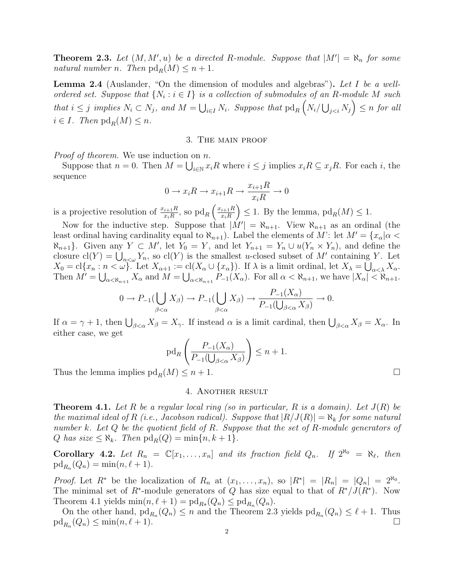**Theorem 2.3.** Let  $(M, M', u)$  be a directed R-module. Suppose that  $|M'| = \aleph_n$  for some natural number n. Then  $\text{pd}_R(M) \leq n+1$ .

**Lemma 2.4** (Auslander, "On the dimension of modules and algebras"). Let I be a wellordered set. Suppose that  $\{N_i : i \in I\}$  is a collection of submodules of an R-module M such that  $i \leq j$  implies  $N_i \subset N_j$ , and  $M = \bigcup_{i \in I} N_i$ . Suppose that  $\text{pd}_R\left(N_i/\bigcup_{j for all$  $i \in I$ . Then  $\text{pd}_R(M) \leq n$ .

## 3. The main proof

Proof of theorem. We use induction on n.

Suppose that  $n = 0$ . Then  $M = \bigcup_{i \in \mathbb{N}} x_i R$  where  $i \leq j$  implies  $x_i R \subseteq x_j R$ . For each i, the sequence

$$
0 \to x_i R \to x_{i+1} R \to \frac{x_{i+1} R}{x_i R} \to 0
$$

is a projective resolution of  $\frac{x_{i+1}R}{x_iR}$ , so  $\text{pd}_R\left(\frac{x_{i+1}R}{x_iR}\right)$  $x_iR$  $\Big) \leq 1$ . By the lemma,  $\text{pd}_R(M) \leq 1$ .

Now for the inductive step. Suppose that  $|M'| = \aleph_{n+1}$ . View  $\aleph_{n+1}$  as an ordinal (the least ordinal having cardinality equal to  $\aleph_{n+1}$ ). Label the elements of M': let  $M' = \{x_\alpha | \alpha <$  $\aleph_{n+1}$ . Given any  $Y \subset M'$ , let  $Y_0 = Y$ , and let  $Y_{n+1} = Y_n \cup u(Y_n \times Y_n)$ , and define the closure  $\text{cl}(Y) = \bigcup_{n<\omega} Y_n$ , so  $\text{cl}(Y)$  is the smallest u-closed subset of M' containing Y. Let  $X_0 = \text{cl}\{x_n : n < \omega\}$ . Let  $X_{\alpha+1} := \text{cl}(X_\alpha \cup \{x_\alpha\})$ . If  $\lambda$  is a limit ordinal, let  $X_\lambda = \bigcup_{\alpha < \lambda} X_\alpha$ . Then  $M' = \bigcup_{\alpha < \aleph_{n+1}} X_{\alpha}$  and  $M = \bigcup_{\alpha < \aleph_{n+1}} P_{-1}(X_{\alpha})$ . For all  $\alpha < \aleph_{n+1}$ , we have  $|X_{\alpha}| < \aleph_{n+1}$ .

$$
0 \to P_{-1}(\bigcup_{\beta < \alpha} X_{\beta}) \to P_{-1}(\bigcup_{\beta < \alpha} X_{\beta}) \to \frac{P_{-1}(X_{\alpha})}{P_{-1}(\bigcup_{\beta < \alpha} X_{\beta})} \to 0.
$$

If  $\alpha = \gamma + 1$ , then  $\bigcup_{\beta < \alpha} X_{\beta} = X_{\gamma}$ . If instead  $\alpha$  is a limit cardinal, then  $\bigcup_{\beta < \alpha} X_{\beta} = X_{\alpha}$ . In either case, we get

$$
\operatorname{pd}_R\left(\frac{P_{-1}(X_\alpha)}{P_{-1}(\bigcup_{\beta<\alpha}X_\beta)}\right)\leq n+1.
$$

Thus the lemma implies  $\text{pd}_R(M) \leq n+1$ .

### 4. Another result

**Theorem 4.1.** Let R be a regular local ring (so in particular, R is a domain). Let  $J(R)$  be the maximal ideal of R (i.e., Jacobson radical). Suppose that  $|R/J(R)| = \aleph_k$  for some natural number k. Let Q be the quotient field of R. Suppose that the set of R-module generators of Q has size  $\leq \aleph_k$ . Then  $\text{pd}_R(Q) = \min\{n, k+1\}.$ 

**Corollary 4.2.** Let  $R_n = \mathbb{C}[x_1, \ldots, x_n]$  and its fraction field  $Q_n$ . If  $2^{\aleph_0} = \aleph_{\ell}$ , then  $\mathrm{pd}_{R_n}(Q_n) = \min(n, \ell + 1).$ 

*Proof.* Let  $R^*$  be the localization of  $R_n$  at  $(x_1, \ldots, x_n)$ , so  $|R^*| = |R_n| = |Q_n| = 2^{\aleph_0}$ . The minimal set of  $R^*$ -module generators of Q has size equal to that of  $R^*/J(R^*)$ . Now Theorem 4.1 yields  $\min(n, \ell + 1) = \text{pd}_{R_*}(Q_n) \leq \text{pd}_{R_n}(Q_n)$ .

On the other hand,  $\mathrm{pd}_{R_n}(Q_n) \leq n$  and the Theorem 2.3 yields  $\mathrm{pd}_{R_n}(Q_n) \leq \ell + 1$ . Thus  $\mathrm{pd}_{R_n}(Q_n) \leq \min(n, \ell + 1).$